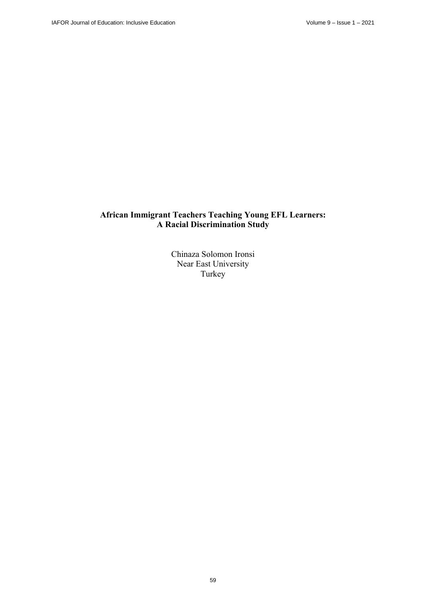# **African Immigrant Teachers Teaching Young EFL Learners: A Racial Discrimination Study**

Chinaza Solomon Ironsi Near East University Turkey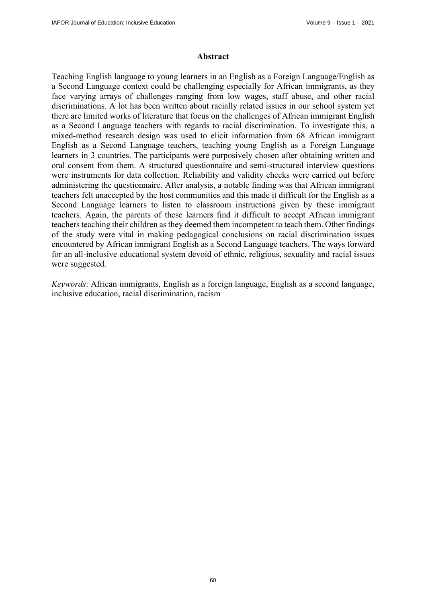#### **Abstract**

Teaching English language to young learners in an English as a Foreign Language/English as a Second Language context could be challenging especially for African immigrants, as they face varying arrays of challenges ranging from low wages, staff abuse, and other racial discriminations. A lot has been written about racially related issues in our school system yet there are limited works of literature that focus on the challenges of African immigrant English as a Second Language teachers with regards to racial discrimination. To investigate this, a mixed-method research design was used to elicit information from 68 African immigrant English as a Second Language teachers, teaching young English as a Foreign Language learners in 3 countries. The participants were purposively chosen after obtaining written and oral consent from them. A structured questionnaire and semi-structured interview questions were instruments for data collection. Reliability and validity checks were carried out before administering the questionnaire. After analysis, a notable finding was that African immigrant teachers felt unaccepted by the host communities and this made it difficult for the English as a Second Language learners to listen to classroom instructions given by these immigrant teachers. Again, the parents of these learners find it difficult to accept African immigrant teachers teaching their children as they deemed them incompetent to teach them. Other findings of the study were vital in making pedagogical conclusions on racial discrimination issues encountered by African immigrant English as a Second Language teachers. The ways forward for an all-inclusive educational system devoid of ethnic, religious, sexuality and racial issues were suggested.

*Keywords*: African immigrants, English as a foreign language, English as a second language, inclusive education, racial discrimination, racism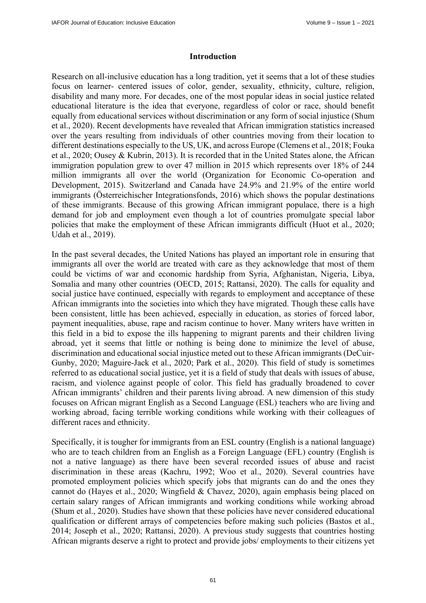#### **Introduction**

Research on all-inclusive education has a long tradition, yet it seems that a lot of these studies focus on learner- centered issues of color, gender, sexuality, ethnicity, culture, religion, disability and many more. For decades, one of the most popular ideas in social justice related educational literature is the idea that everyone, regardless of color or race, should benefit equally from educational services without discrimination or any form of social injustice (Shum et al., 2020). Recent developments have revealed that African immigration statistics increased over the years resulting from individuals of other countries moving from their location to different destinations especially to the US, UK, and across Europe (Clemens et al., 2018; Fouka et al., 2020; Ousey & Kubrin, 2013). It is recorded that in the United States alone, the African immigration population grew to over 47 million in 2015 which represents over 18% of 244 million immigrants all over the world (Organization for Economic Co-operation and Development, 2015). Switzerland and Canada have 24.9% and 21.9% of the entire world immigrants (Österreichischer Integrationsfonds, 2016) which shows the popular destinations of these immigrants. Because of this growing African immigrant populace, there is a high demand for job and employment even though a lot of countries promulgate special labor policies that make the employment of these African immigrants difficult (Huot et al., 2020; Udah et al., 2019).

In the past several decades, the United Nations has played an important role in ensuring that immigrants all over the world are treated with care as they acknowledge that most of them could be victims of war and economic hardship from Syria, Afghanistan, Nigeria, Libya, Somalia and many other countries (OECD, 2015; Rattansi, 2020). The calls for equality and social justice have continued, especially with regards to employment and acceptance of these African immigrants into the societies into which they have migrated. Though these calls have been consistent, little has been achieved, especially in education, as stories of forced labor, payment inequalities, abuse, rape and racism continue to hover. Many writers have written in this field in a bid to expose the ills happening to migrant parents and their children living abroad, yet it seems that little or nothing is being done to minimize the level of abuse, discrimination and educational social injustice meted out to these African immigrants (DeCuir-Gunby, 2020; Maguire-Jack et al., 2020; Park et al., 2020). This field of study is sometimes referred to as educational social justice, yet it is a field of study that deals with issues of abuse, racism, and violence against people of color. This field has gradually broadened to cover African immigrants' children and their parents living abroad. A new dimension of this study focuses on African migrant English as a Second Language (ESL) teachers who are living and working abroad, facing terrible working conditions while working with their colleagues of different races and ethnicity.

Specifically, it is tougher for immigrants from an ESL country (English is a national language) who are to teach children from an English as a Foreign Language (EFL) country (English is not a native language) as there have been several recorded issues of abuse and racist discrimination in these areas (Kachru, 1992; Woo et al., 2020). Several countries have promoted employment policies which specify jobs that migrants can do and the ones they cannot do (Hayes et al., 2020; Wingfield & Chavez, 2020), again emphasis being placed on certain salary ranges of African immigrants and working conditions while working abroad (Shum et al., 2020). Studies have shown that these policies have never considered educational qualification or different arrays of competencies before making such policies (Bastos et al., 2014; Joseph et al., 2020; Rattansi, 2020). A previous study suggests that countries hosting African migrants deserve a right to protect and provide jobs/ employments to their citizens yet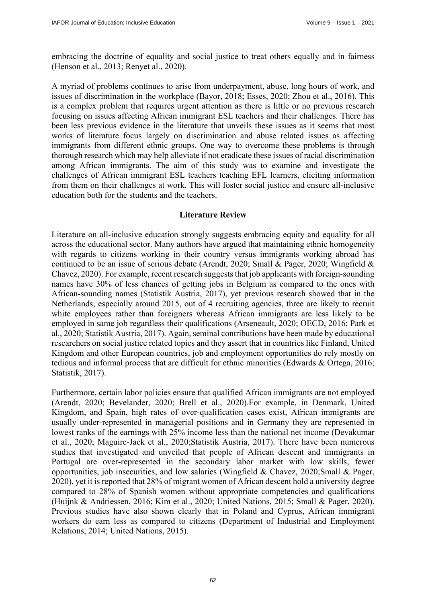embracing the doctrine of equality and social justice to treat others equally and in fairness (Henson et al., 2013; Renyet al., 2020).

A myriad of problems continues to arise from underpayment, abuse, long hours of work, and issues of discrimination in the workplace (Bayor, 2018; Esses, 2020; Zhou et al., 2016). This is a complex problem that requires urgent attention as there is little or no previous research focusing on issues affecting African immigrant ESL teachers and their challenges. There has been less previous evidence in the literature that unveils these issues as it seems that most works of literature focus largely on discrimination and abuse related issues as affecting immigrants from different ethnic groups. One way to overcome these problems is through thorough research which may help alleviate if not eradicate these issues of racial discrimination among African immigrants. The aim of this study was to examine and investigate the challenges of African immigrant ESL teachers teaching EFL learners, eliciting information from them on their challenges at work. This will foster social justice and ensure all-inclusive education both for the students and the teachers.

#### **Literature Review**

Literature on all-inclusive education strongly suggests embracing equity and equality for all across the educational sector. Many authors have argued that maintaining ethnic homogeneity with regards to citizens working in their country versus immigrants working abroad has continued to be an issue of serious debate (Arendt, 2020; Small & Pager, 2020; Wingfield & Chavez, 2020). For example, recent research suggests that job applicants with foreign-sounding names have 30% of less chances of getting jobs in Belgium as compared to the ones with African-sounding names (Statistik Austria, 2017), yet previous research showed that in the Netherlands, especially around 2015, out of 4 recruiting agencies, three are likely to recruit white employees rather than foreigners whereas African immigrants are less likely to be employed in same job regardless their qualifications (Arseneault, 2020; OECD, 2016; Park et al., 2020; Statistik Austria, 2017). Again, seminal contributions have been made by educational researchers on social justice related topics and they assert that in countries like Finland, United Kingdom and other European countries, job and employment opportunities do rely mostly on tedious and informal process that are difficult for ethnic minorities (Edwards & Ortega, 2016; Statistik, 2017).

Furthermore, certain labor policies ensure that qualified African immigrants are not employed (Arendt, 2020; Bevelander, 2020; Brell et al., 2020).For example, in Denmark, United Kingdom, and Spain, high rates of over-qualification cases exist, African immigrants are usually under-represented in managerial positions and in Germany they are represented in lowest ranks of the earnings with 25% income less than the national net income (Devakumar et al., 2020; Maguire-Jack et al., 2020;Statistik Austria, 2017). There have been numerous studies that investigated and unveiled that people of African descent and immigrants in Portugal are over-represented in the secondary labor market with low skills, fewer opportunities, job insecurities, and low salaries (Wingfield & Chavez, 2020;Small & Pager, 2020), yet it is reported that 28% of migrant women of African descent hold a university degree compared to 28% of Spanish women without appropriate competencies and qualifications (Huijnk & Andriessen, 2016; Kim et al., 2020; United Nations, 2015; Small & Pager, 2020). Previous studies have also shown clearly that in Poland and Cyprus, African immigrant workers do earn less as compared to citizens (Department of Industrial and Employment Relations, 2014; United Nations, 2015).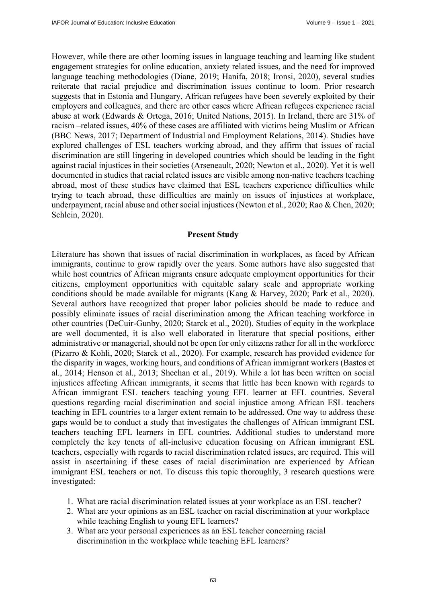However, while there are other looming issues in language teaching and learning like student engagement strategies for online education, anxiety related issues, and the need for improved language teaching methodologies (Diane, 2019; Hanifa, 2018; Ironsi, 2020), several studies reiterate that racial prejudice and discrimination issues continue to loom. Prior research suggests that in Estonia and Hungary, African refugees have been severely exploited by their employers and colleagues, and there are other cases where African refugees experience racial abuse at work (Edwards & Ortega, 2016; United Nations, 2015). In Ireland, there are 31% of racism –related issues, 40% of these cases are affiliated with victims being Muslim or African (BBC News, 2017; Department of Industrial and Employment Relations, 2014). Studies have explored challenges of ESL teachers working abroad, and they affirm that issues of racial discrimination are still lingering in developed countries which should be leading in the fight against racial injustices in their societies (Arseneault, 2020; Newton et al., 2020). Yet it is well documented in studies that racial related issues are visible among non-native teachers teaching abroad, most of these studies have claimed that ESL teachers experience difficulties while trying to teach abroad, these difficulties are mainly on issues of injustices at workplace, underpayment, racial abuse and other social injustices (Newton et al., 2020; Rao & Chen, 2020; Schlein, 2020).

#### **Present Study**

Literature has shown that issues of racial discrimination in workplaces, as faced by African immigrants, continue to grow rapidly over the years. Some authors have also suggested that while host countries of African migrants ensure adequate employment opportunities for their citizens, employment opportunities with equitable salary scale and appropriate working conditions should be made available for migrants (Kang & Harvey, 2020; Park et al., 2020). Several authors have recognized that proper labor policies should be made to reduce and possibly eliminate issues of racial discrimination among the African teaching workforce in other countries (DeCuir-Gunby, 2020; Starck et al., 2020). Studies of equity in the workplace are well documented, it is also well elaborated in literature that special positions, either administrative or managerial, should not be open for only citizens rather for all in the workforce (Pizarro & Kohli, 2020; Starck et al., 2020). For example, research has provided evidence for the disparity in wages, working hours, and conditions of African immigrant workers (Bastos et al., 2014; Henson et al., 2013; Sheehan et al., 2019). While a lot has been written on social injustices affecting African immigrants, it seems that little has been known with regards to African immigrant ESL teachers teaching young EFL learner at EFL countries. Several questions regarding racial discrimination and social injustice among African ESL teachers teaching in EFL countries to a larger extent remain to be addressed. One way to address these gaps would be to conduct a study that investigates the challenges of African immigrant ESL teachers teaching EFL learners in EFL countries. Additional studies to understand more completely the key tenets of all-inclusive education focusing on African immigrant ESL teachers, especially with regards to racial discrimination related issues, are required. This will assist in ascertaining if these cases of racial discrimination are experienced by African immigrant ESL teachers or not. To discuss this topic thoroughly, 3 research questions were investigated:

- 1. What are racial discrimination related issues at your workplace as an ESL teacher?
- 2. What are your opinions as an ESL teacher on racial discrimination at your workplace while teaching English to young EFL learners?
- 3. What are your personal experiences as an ESL teacher concerning racial discrimination in the workplace while teaching EFL learners?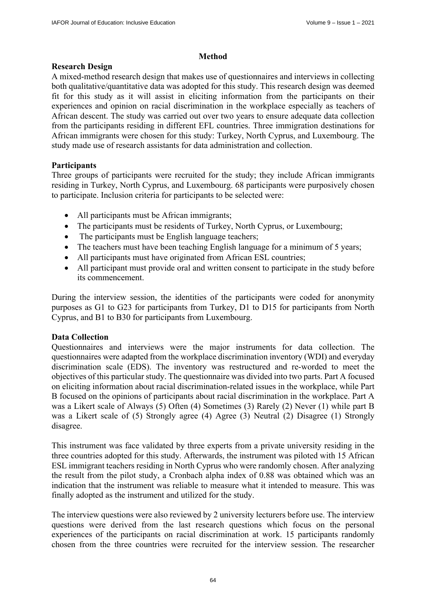## **Method**

## **Research Design**

A mixed-method research design that makes use of questionnaires and interviews in collecting both qualitative/quantitative data was adopted for this study. This research design was deemed fit for this study as it will assist in eliciting information from the participants on their experiences and opinion on racial discrimination in the workplace especially as teachers of African descent. The study was carried out over two years to ensure adequate data collection from the participants residing in different EFL countries. Three immigration destinations for African immigrants were chosen for this study: Turkey, North Cyprus, and Luxembourg. The study made use of research assistants for data administration and collection.

## **Participants**

Three groups of participants were recruited for the study; they include African immigrants residing in Turkey, North Cyprus, and Luxembourg. 68 participants were purposively chosen to participate. Inclusion criteria for participants to be selected were:

- All participants must be African immigrants;
- The participants must be residents of Turkey, North Cyprus, or Luxembourg;
- The participants must be English language teachers;
- The teachers must have been teaching English language for a minimum of 5 years;
- All participants must have originated from African ESL countries;
- All participant must provide oral and written consent to participate in the study before its commencement.

During the interview session, the identities of the participants were coded for anonymity purposes as G1 to G23 for participants from Turkey, D1 to D15 for participants from North Cyprus, and B1 to B30 for participants from Luxembourg.

## **Data Collection**

Questionnaires and interviews were the major instruments for data collection. The questionnaires were adapted from the workplace discrimination inventory (WDI) and everyday discrimination scale (EDS). The inventory was restructured and re-worded to meet the objectives of this particular study. The questionnaire was divided into two parts. Part A focused on eliciting information about racial discrimination-related issues in the workplace, while Part B focused on the opinions of participants about racial discrimination in the workplace. Part A was a Likert scale of Always (5) Often (4) Sometimes (3) Rarely (2) Never (1) while part B was a Likert scale of (5) Strongly agree (4) Agree (3) Neutral (2) Disagree (1) Strongly disagree.

This instrument was face validated by three experts from a private university residing in the three countries adopted for this study. Afterwards, the instrument was piloted with 15 African ESL immigrant teachers residing in North Cyprus who were randomly chosen. After analyzing the result from the pilot study, a Cronbach alpha index of 0.88 was obtained which was an indication that the instrument was reliable to measure what it intended to measure. This was finally adopted as the instrument and utilized for the study.

The interview questions were also reviewed by 2 university lecturers before use. The interview questions were derived from the last research questions which focus on the personal experiences of the participants on racial discrimination at work. 15 participants randomly chosen from the three countries were recruited for the interview session. The researcher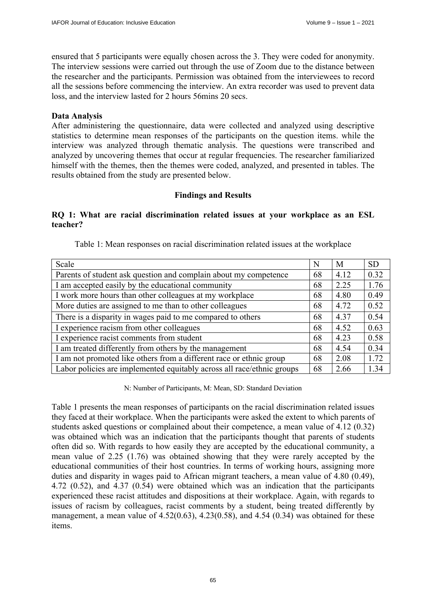ensured that 5 participants were equally chosen across the 3. They were coded for anonymity. The interview sessions were carried out through the use of Zoom due to the distance between the researcher and the participants. Permission was obtained from the interviewees to record all the sessions before commencing the interview. An extra recorder was used to prevent data loss, and the interview lasted for 2 hours 56mins 20 secs.

#### **Data Analysis**

After administering the questionnaire, data were collected and analyzed using descriptive statistics to determine mean responses of the participants on the question items. while the interview was analyzed through thematic analysis. The questions were transcribed and analyzed by uncovering themes that occur at regular frequencies. The researcher familiarized himself with the themes, then the themes were coded, analyzed, and presented in tables. The results obtained from the study are presented below.

### **Findings and Results**

### **RQ 1: What are racial discrimination related issues at your workplace as an ESL teacher?**

| Scale                                                                  | N  | M    | <b>SD</b> |
|------------------------------------------------------------------------|----|------|-----------|
| Parents of student ask question and complain about my competence       | 68 | 4.12 | 0.32      |
| I am accepted easily by the educational community                      | 68 | 2.25 | 1.76      |
| I work more hours than other colleagues at my workplace                | 68 | 4.80 | 0.49      |
| More duties are assigned to me than to other colleagues                | 68 | 4.72 | 0.52      |
| There is a disparity in wages paid to me compared to others            | 68 | 4.37 | 0.54      |
| I experience racism from other colleagues                              | 68 | 4.52 | 0.63      |
| I experience racist comments from student                              | 68 | 4.23 | 0.58      |
| I am treated differently from others by the management                 | 68 | 4.54 | 0.34      |
| I am not promoted like others from a different race or ethnic group    |    | 2.08 | 1.72      |
| Labor policies are implemented equitably across all race/ethnic groups | 68 | 2.66 | 1.34      |

Table 1: Mean responses on racial discrimination related issues at the workplace

N: Number of Participants, M: Mean, SD: Standard Deviation

Table 1 presents the mean responses of participants on the racial discrimination related issues they faced at their workplace. When the participants were asked the extent to which parents of students asked questions or complained about their competence, a mean value of 4.12 (0.32) was obtained which was an indication that the participants thought that parents of students often did so. With regards to how easily they are accepted by the educational community, a mean value of 2.25 (1.76) was obtained showing that they were rarely accepted by the educational communities of their host countries. In terms of working hours, assigning more duties and disparity in wages paid to African migrant teachers, a mean value of 4.80 (0.49), 4.72 (0.52), and 4.37 (0.54) were obtained which was an indication that the participants experienced these racist attitudes and dispositions at their workplace. Again, with regards to issues of racism by colleagues, racist comments by a student, being treated differently by management, a mean value of  $4.52(0.63)$ ,  $4.23(0.58)$ , and  $4.54(0.34)$  was obtained for these items.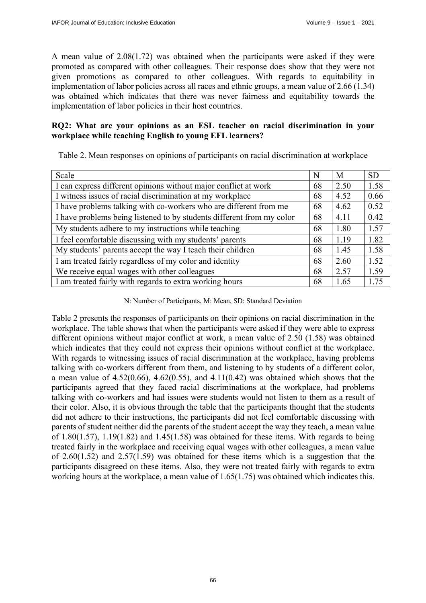A mean value of 2.08(1.72) was obtained when the participants were asked if they were promoted as compared with other colleagues. Their response does show that they were not given promotions as compared to other colleagues. With regards to equitability in implementation of labor policies across all races and ethnic groups, a mean value of 2.66 (1.34) was obtained which indicates that there was never fairness and equitability towards the implementation of labor policies in their host countries.

## **RQ2: What are your opinions as an ESL teacher on racial discrimination in your workplace while teaching English to young EFL learners?**

| Table 2. Mean responses on opinions of participants on racial discrimination at workplace |  |  |  |
|-------------------------------------------------------------------------------------------|--|--|--|
|                                                                                           |  |  |  |

| Scale                                                                 | N  | M    | <b>SD</b> |
|-----------------------------------------------------------------------|----|------|-----------|
| I can express different opinions without major conflict at work       |    | 2.50 | 1.58      |
| I witness issues of racial discrimination at my workplace             | 68 | 4.52 | 0.66      |
| I have problems talking with co-workers who are different from me     | 68 | 4.62 | 0.52      |
| I have problems being listened to by students different from my color | 68 | 4.11 | 0.42      |
| My students adhere to my instructions while teaching                  | 68 | 1.80 | 1.57      |
| I feel comfortable discussing with my students' parents               | 68 | 1.19 | 1.82      |
| My students' parents accept the way I teach their children            | 68 | 1.45 | 1.58      |
| I am treated fairly regardless of my color and identity               | 68 | 2.60 | 1.52      |
| We receive equal wages with other colleagues                          | 68 | 2.57 | 1.59      |
| I am treated fairly with regards to extra working hours               | 68 | 1.65 | 1.75      |

#### N: Number of Participants, M: Mean, SD: Standard Deviation

Table 2 presents the responses of participants on their opinions on racial discrimination in the workplace. The table shows that when the participants were asked if they were able to express different opinions without major conflict at work, a mean value of 2.50 (1.58) was obtained which indicates that they could not express their opinions without conflict at the workplace. With regards to witnessing issues of racial discrimination at the workplace, having problems talking with co-workers different from them, and listening to by students of a different color, a mean value of  $4.52(0.66)$ ,  $4.62(0.55)$ , and  $4.11(0.42)$  was obtained which shows that the participants agreed that they faced racial discriminations at the workplace, had problems talking with co-workers and had issues were students would not listen to them as a result of their color. Also, it is obvious through the table that the participants thought that the students did not adhere to their instructions, the participants did not feel comfortable discussing with parents of student neither did the parents of the student accept the way they teach, a mean value of 1.80(1.57), 1.19(1.82) and 1.45(1.58) was obtained for these items. With regards to being treated fairly in the workplace and receiving equal wages with other colleagues, a mean value of 2.60(1.52) and 2.57(1.59) was obtained for these items which is a suggestion that the participants disagreed on these items. Also, they were not treated fairly with regards to extra working hours at the workplace, a mean value of 1.65(1.75) was obtained which indicates this.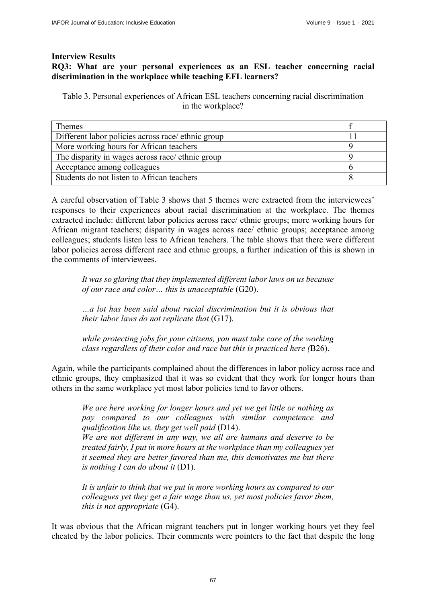### **Interview Results**

## **RQ3: What are your personal experiences as an ESL teacher concerning racial discrimination in the workplace while teaching EFL learners?**

Table 3. Personal experiences of African ESL teachers concerning racial discrimination in the workplace?

| <b>Themes</b>                                      |  |
|----------------------------------------------------|--|
| Different labor policies across race/ ethnic group |  |
| More working hours for African teachers            |  |
| The disparity in wages across race/ ethnic group   |  |
| Acceptance among colleagues                        |  |
| Students do not listen to African teachers         |  |

A careful observation of Table 3 shows that 5 themes were extracted from the interviewees' responses to their experiences about racial discrimination at the workplace. The themes extracted include: different labor policies across race/ ethnic groups; more working hours for African migrant teachers; disparity in wages across race/ ethnic groups; acceptance among colleagues; students listen less to African teachers. The table shows that there were different labor policies across different race and ethnic groups, a further indication of this is shown in the comments of interviewees.

*It was so glaring that they implemented different labor laws on us because of our race and color… this is unacceptable* (G20).

*…a lot has been said about racial discrimination but it is obvious that their labor laws do not replicate that* (G17).

*while protecting jobs for your citizens, you must take care of the working class regardless of their color and race but this is practiced here (*B26).

Again, while the participants complained about the differences in labor policy across race and ethnic groups, they emphasized that it was so evident that they work for longer hours than others in the same workplace yet most labor policies tend to favor others.

*We are here working for longer hours and yet we get little or nothing as pay compared to our colleagues with similar competence and qualification like us, they get well paid* (D14).

*We are not different in any way, we all are humans and deserve to be treated fairly, I put in more hours at the workplace than my colleagues yet it seemed they are better favored than me, this demotivates me but there is nothing I can do about it* (D1).

*It is unfair to think that we put in more working hours as compared to our colleagues yet they get a fair wage than us, yet most policies favor them, this is not appropriate* (G4).

It was obvious that the African migrant teachers put in longer working hours yet they feel cheated by the labor policies. Their comments were pointers to the fact that despite the long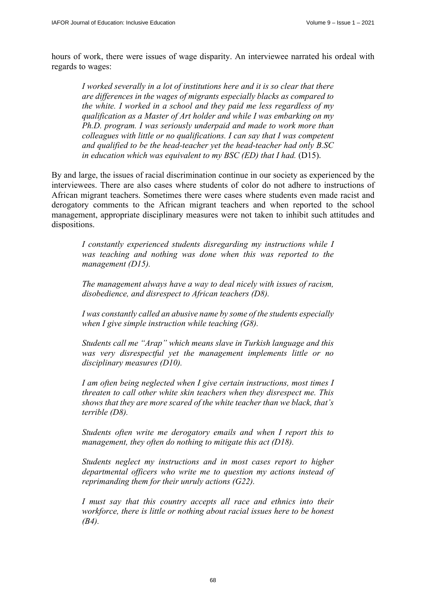hours of work, there were issues of wage disparity. An interviewee narrated his ordeal with regards to wages:

*I worked severally in a lot of institutions here and it is so clear that there are differences in the wages of migrants especially blacks as compared to the white. I worked in a school and they paid me less regardless of my qualification as a Master of Art holder and while I was embarking on my Ph.D. program. I was seriously underpaid and made to work more than colleagues with little or no qualifications. I can say that I was competent and qualified to be the head-teacher yet the head-teacher had only B.SC in education which was equivalent to my BSC (ED) that I had.* (D15).

By and large, the issues of racial discrimination continue in our society as experienced by the interviewees. There are also cases where students of color do not adhere to instructions of African migrant teachers. Sometimes there were cases where students even made racist and derogatory comments to the African migrant teachers and when reported to the school management, appropriate disciplinary measures were not taken to inhibit such attitudes and dispositions.

*I constantly experienced students disregarding my instructions while I was teaching and nothing was done when this was reported to the management (D15).* 

*The management always have a way to deal nicely with issues of racism, disobedience, and disrespect to African teachers (D8).* 

*I was constantly called an abusive name by some of the students especially when I give simple instruction while teaching (G8).* 

*Students call me "Arap" which means slave in Turkish language and this was very disrespectful yet the management implements little or no disciplinary measures (D10).* 

*I am often being neglected when I give certain instructions, most times I threaten to call other white skin teachers when they disrespect me. This shows that they are more scared of the white teacher than we black, that's terrible (D8).* 

*Students often write me derogatory emails and when I report this to management, they often do nothing to mitigate this act (D18).* 

*Students neglect my instructions and in most cases report to higher departmental officers who write me to question my actions instead of reprimanding them for their unruly actions (G22).* 

*I must say that this country accepts all race and ethnics into their workforce, there is little or nothing about racial issues here to be honest (B4).*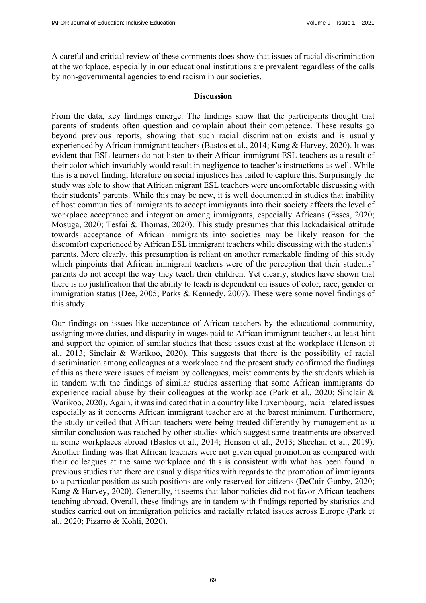A careful and critical review of these comments does show that issues of racial discrimination at the workplace, especially in our educational institutions are prevalent regardless of the calls by non-governmental agencies to end racism in our societies.

#### **Discussion**

From the data, key findings emerge. The findings show that the participants thought that parents of students often question and complain about their competence. These results go beyond previous reports, showing that such racial discrimination exists and is usually experienced by African immigrant teachers (Bastos et al., 2014; Kang & Harvey, 2020). It was evident that ESL learners do not listen to their African immigrant ESL teachers as a result of their color which invariably would result in negligence to teacher's instructions as well. While this is a novel finding, literature on social injustices has failed to capture this. Surprisingly the study was able to show that African migrant ESL teachers were uncomfortable discussing with their students' parents. While this may be new, it is well documented in studies that inability of host communities of immigrants to accept immigrants into their society affects the level of workplace acceptance and integration among immigrants, especially Africans (Esses, 2020; Mosuga, 2020; Tesfai & Thomas, 2020). This study presumes that this lackadaisical attitude towards acceptance of African immigrants into societies may be likely reason for the discomfort experienced by African ESL immigrant teachers while discussing with the students' parents. More clearly, this presumption is reliant on another remarkable finding of this study which pinpoints that African immigrant teachers were of the perception that their students' parents do not accept the way they teach their children. Yet clearly, studies have shown that there is no justification that the ability to teach is dependent on issues of color, race, gender or immigration status (Dee, 2005; Parks & Kennedy, 2007). These were some novel findings of this study.

Our findings on issues like acceptance of African teachers by the educational community, assigning more duties, and disparity in wages paid to African immigrant teachers, at least hint and support the opinion of similar studies that these issues exist at the workplace (Henson et al., 2013; Sinclair & Warikoo, 2020). This suggests that there is the possibility of racial discrimination among colleagues at a workplace and the present study confirmed the findings of this as there were issues of racism by colleagues, racist comments by the students which is in tandem with the findings of similar studies asserting that some African immigrants do experience racial abuse by their colleagues at the workplace (Park et al., 2020; Sinclair & Warikoo, 2020). Again, it was indicated that in a country like Luxembourg, racial related issues especially as it concerns African immigrant teacher are at the barest minimum. Furthermore, the study unveiled that African teachers were being treated differently by management as a similar conclusion was reached by other studies which suggest same treatments are observed in some workplaces abroad (Bastos et al., 2014; Henson et al., 2013; Sheehan et al., 2019). Another finding was that African teachers were not given equal promotion as compared with their colleagues at the same workplace and this is consistent with what has been found in previous studies that there are usually disparities with regards to the promotion of immigrants to a particular position as such positions are only reserved for citizens (DeCuir-Gunby, 2020; Kang & Harvey, 2020). Generally, it seems that labor policies did not favor African teachers teaching abroad. Overall, these findings are in tandem with findings reported by statistics and studies carried out on immigration policies and racially related issues across Europe (Park et al., 2020; Pizarro & Kohli, 2020).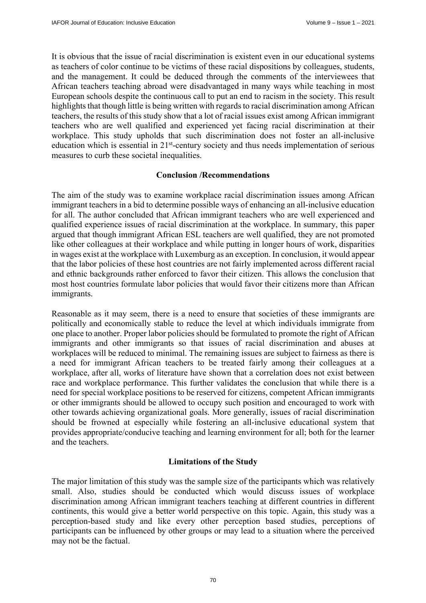It is obvious that the issue of racial discrimination is existent even in our educational systems as teachers of color continue to be victims of these racial dispositions by colleagues, students, and the management. It could be deduced through the comments of the interviewees that African teachers teaching abroad were disadvantaged in many ways while teaching in most European schools despite the continuous call to put an end to racism in the society. This result highlights that though little is being written with regards to racial discrimination among African teachers, the results of this study show that a lot of racial issues exist among African immigrant teachers who are well qualified and experienced yet facing racial discrimination at their workplace. This study upholds that such discrimination does not foster an all-inclusive education which is essential in 21st-century society and thus needs implementation of serious measures to curb these societal inequalities.

### **Conclusion /Recommendations**

The aim of the study was to examine workplace racial discrimination issues among African immigrant teachers in a bid to determine possible ways of enhancing an all-inclusive education for all. The author concluded that African immigrant teachers who are well experienced and qualified experience issues of racial discrimination at the workplace. In summary, this paper argued that though immigrant African ESL teachers are well qualified, they are not promoted like other colleagues at their workplace and while putting in longer hours of work, disparities in wages exist at the workplace with Luxemburg as an exception. In conclusion, it would appear that the labor policies of these host countries are not fairly implemented across different racial and ethnic backgrounds rather enforced to favor their citizen. This allows the conclusion that most host countries formulate labor policies that would favor their citizens more than African immigrants.

Reasonable as it may seem, there is a need to ensure that societies of these immigrants are politically and economically stable to reduce the level at which individuals immigrate from one place to another. Proper labor policies should be formulated to promote the right of African immigrants and other immigrants so that issues of racial discrimination and abuses at workplaces will be reduced to minimal. The remaining issues are subject to fairness as there is a need for immigrant African teachers to be treated fairly among their colleagues at a workplace, after all, works of literature have shown that a correlation does not exist between race and workplace performance. This further validates the conclusion that while there is a need for special workplace positions to be reserved for citizens, competent African immigrants or other immigrants should be allowed to occupy such position and encouraged to work with other towards achieving organizational goals. More generally, issues of racial discrimination should be frowned at especially while fostering an all-inclusive educational system that provides appropriate/conducive teaching and learning environment for all; both for the learner and the teachers.

## **Limitations of the Study**

The major limitation of this study was the sample size of the participants which was relatively small. Also, studies should be conducted which would discuss issues of workplace discrimination among African immigrant teachers teaching at different countries in different continents, this would give a better world perspective on this topic. Again, this study was a perception-based study and like every other perception based studies, perceptions of participants can be influenced by other groups or may lead to a situation where the perceived may not be the factual.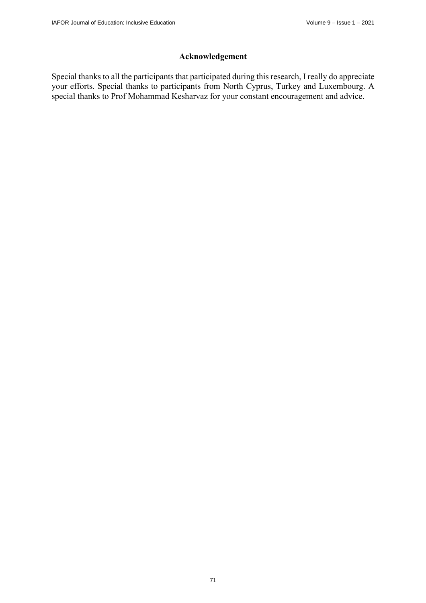# **Acknowledgement**

Special thanks to all the participants that participated during this research, I really do appreciate your efforts. Special thanks to participants from North Cyprus, Turkey and Luxembourg. A special thanks to Prof Mohammad Kesharvaz for your constant encouragement and advice.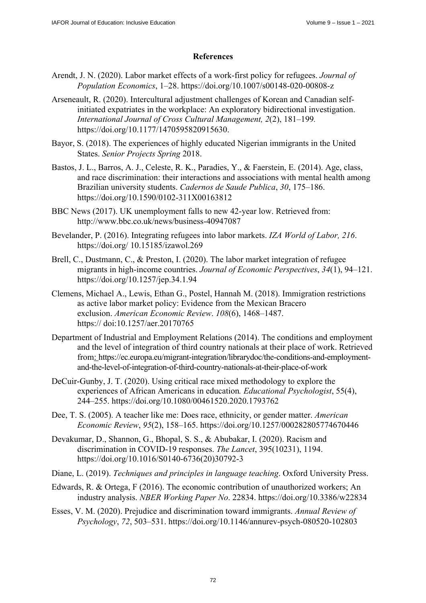## **References**

- Arendt, J. N. (2020). Labor market effects of a work-first policy for refugees. *Journal of Population Economics*, 1–28. <https://doi.org/10.1007/s00148-020-00808-z>
- Arseneault, R. (2020). Intercultural adjustment challenges of Korean and Canadian selfinitiated expatriates in the workplace: An exploratory bidirectional investigation. *International Journal of Cross Cultural Management, 2*(2), 181–199*.* [https://doi.org/10.1177/1470595820915630.](https://doi.org/10.1177/1470595820915630)
- Bayor, S. (2018). The experiences of highly educated Nigerian immigrants in the United States. *Senior Projects Spring* 2018.
- Bastos, J. L., Barros, A. J., Celeste, R. K., Paradies, Y., & Faerstein, E. (2014). Age, class, and race discrimination: their interactions and associations with mental health among Brazilian university students. *Cadernos de Saude Publica*, *30*, 175–186. <https://doi.org/10.1590/0102-311X00163812>
- BBC News (2017). UK unemployment falls to new 42-year low. Retrieved from: <http://www.bbc.co.uk/news/business-40947087>
- Bevelander, P. (2016). Integrating refugees into labor markets. *IZA World of Labor, 216*. [https://doi.org/ 10](https://doi.org/).15185/izawol.269
- Brell, C., Dustmann, C., & Preston, I. (2020). The labor market integration of refugee migrants in high-income countries. *Journal of Economic Perspectives*, *34*(1), 94–121. <https://doi.org/10.1257/jep.34.1.94>
- Clemens, Michael A., Lewis, Ethan G., Postel, Hannah M. (2018). Immigration restrictions as active labor market policy: Evidence from the Mexican Bracero exclusion. *American Economic Review*. *108*(6), 1468–1487. [https:// doi:10.1257/aer.20170765](https://doi:10.1257/aer.20170765)
- Department of Industrial and Employment Relations (2014). The conditions and employment and the level of integration of third country nationals at their place of work. Retrieved [from: https://ec.europa.eu/migrant-integration/librarydoc/the-conditions-and-employment](https://ec.europa.eu/migrant-integration/librarydoc/the-conditions-and-employment-and-the-level-of-integration-of-third-country-nationals-at-their-place-of-work)and[-the-level-of-integration-of-third-country-nationals-at-their-place-of-work](https://ec.europa.eu/migrant-integration/librarydoc/the-conditions-and-employment-and-the-level-of-integration-of-third-country-nationals-at-their-place-of-work)
- DeCuir-Gunby, J. T. (2020). Using critical race mixed methodology to explore the experiences of African Americans in education*. Educational Psychologist*, 55(4), 244–255.<https://doi.org/10.1080/00461520.2020.1793762>
- Dee, T. S. (2005). A teacher like me: Does race, ethnicity, or gender matter. *American Economic Review*, *95*(2), 158–165. <https://doi.org/10.1257/000282805774670446>
- Devakumar, D., Shannon, G., Bhopal, S. S., & Abubakar, I. (2020). Racism and discrimination in COVID-19 responses. *The Lancet*, 395(10231), 1194. [https://doi.org/10.1016/S0140-6736\(20](https://doi.org/10.1016/S0140-6736))30792-3
- Diane, L. (2019). *Techniques and principles in language teaching*. Oxford University Press.
- Edwards, R. & Ortega, F (2016). The economic contribution of unauthorized workers; An industry analysis. *NBER Working Paper No*. 22834. <https://doi.org/10.3386/w22834>
- Esses, V. M. (2020). Prejudice and discrimination toward immigrants. *Annual Review of Psychology*, *72*, 503–531.<https://doi.org/10.1146/annurev-psych-080520-102803>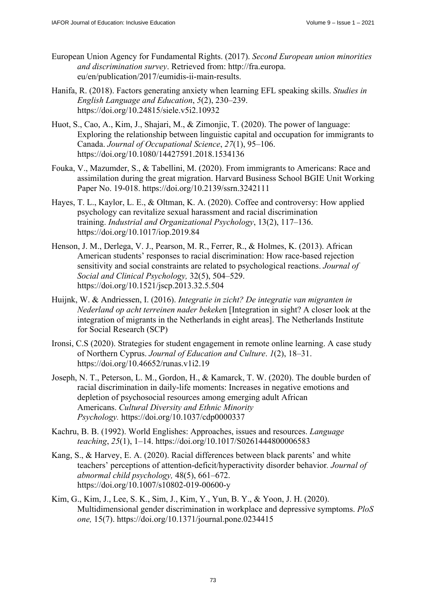- European Union Agency for Fundamental Rights. (2017). *Second European union minorities and discrimination survey*. Retrieved from: [http://fra.europa.](http://fra.europa)  eu/en/publication/2017/eumidis-ii-main-results.
- Hanifa, R. (2018). Factors generating anxiety when learning EFL speaking skills. *Studies in English Language and Education*, *5*(2), 230–239. <https://doi.org/10.24815/siele.v5i2.10932>
- Huot, S., Cao, A., Kim, J., Shajari, M., & Zimonjic, T. (2020). The power of language: Exploring the relationship between linguistic capital and occupation for immigrants to Canada. *Journal of Occupational Science*, *27*(1), 95–106. <https://doi.org/10.1080/14427591.2018.1534136>
- Fouka, V., Mazumder, S., & Tabellini, M. (2020). From immigrants to Americans: Race and assimilation during the great migration. Harvard Business School BGIE Unit Working Paper No. 19-018. <https://doi.org/10.2139/ssrn.3242111>
- Hayes, T. L., Kaylor, L. E., & Oltman, K. A. (2020). Coffee and controversy: How applied psychology can revitalize sexual harassment and racial discrimination training. *Industrial and Organizational Psychology*, 13(2), 117–136. <https://doi.org/10.1017/iop.2019.84>
- Henson, J. M., Derlega, V. J., Pearson, M. R., Ferrer, R., & Holmes, K. (2013). African American students' responses to racial discrimination: How race-based rejection sensitivity and social constraints are related to psychological reactions. *Journal of Social and Clinical Psychology,* 32(5), 504–529. <https://doi.org/10.1521/jscp.2013.32.5.504>
- Huijnk, W. & Andriessen, I. (2016). *Integratie in zicht? De integratie van migranten in Nederland op acht terreinen nader bekeke*n [Integration in sight? A closer look at the integration of migrants in the Netherlands in eight areas]. The Netherlands Institute for Social Research (SCP)
- Ironsi, C.S (2020). Strategies for student engagement in remote online learning. A case study of Northern Cyprus. *Journal of Education and Culture*. *1*(2), 18–31. <https://doi.org/10.46652/runas.v1i2.19>
- Joseph, N. T., Peterson, L. M., Gordon, H., & Kamarck, T. W. (2020). The double burden of racial discrimination in daily-life moments: Increases in negative emotions and depletion of psychosocial resources among emerging adult African Americans. *Cultural Diversity and Ethnic Minority Psychology.*<https://doi.org/10.1037/cdp0000337>
- Kachru, B. B. (1992). World Englishes: Approaches, issues and resources. *Language teaching*, *25*(1), 1–14.<https://doi.org/10.1017/S0261444800006583>
- Kang, S., & Harvey, E. A. (2020). Racial differences between black parents' and white teachers' perceptions of attention-deficit/hyperactivity disorder behavior*. Journal of abnormal child psychology,* 48(5), 661–672. <https://doi.org/10.1007/s10802-019-00600-y>
- Kim, G., Kim, J., Lee, S. K., Sim, J., Kim, Y., Yun, B. Y., & Yoon, J. H. (2020). Multidimensional gender discrimination in workplace and depressive symptoms. *PloS one,* 15(7).<https://doi.org/10.1371/journal.pone.0234415>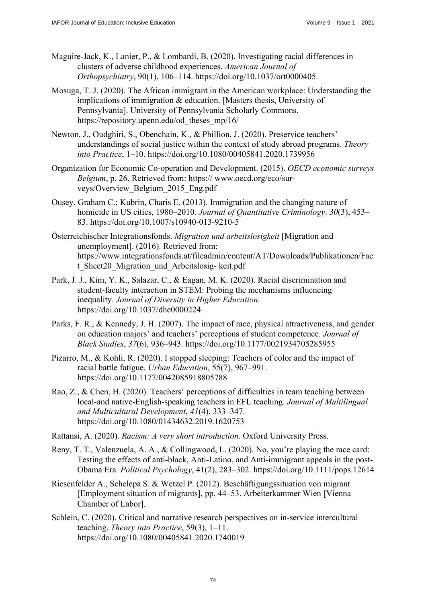- Maguire-Jack, K., Lanier, P., & Lombardi, B. (2020). Investigating racial differences in clusters of adverse childhood experiences. *American Journal of Orthopsychiatry*, 90(1), 106–114. [https://doi.org/10.1037/ort0000405.](https://doi.org/10.1037/ort0000405)
- Mosuga, T. J. (2020). The African immigrant in the American workplace: Understanding the implications of immigration & education. [Masters thesis, University of Pennsylvania]. University of Pennsylvania Scholarly Commons. [https://repository.upenn.edu/od\\_theses\\_mp/16/](https://repository.upenn.edu/od_theses_mp/16/)
- Newton, J., Oudghiri, S., Obenchain, K., & Phillion, J. (2020). Preservice teachers' understandings of social justice within the context of study abroad programs. *Theory into Practice*, 1–10.<https://doi.org/10.1080/00405841.2020.1739956>
- Organization for Economic Co-operation and Development. (2015). *OECD economic surveys Belgium*[, p. 26. Retrieved from: https:// www.oecd.org/eco/sur](https://www.oecd.org/eco/sur-veys/Overview_Belgium_2015_Eng.pdf)veys[/Overview\\_Belgium\\_2015\\_Eng.pdf](https://www.oecd.org/eco/sur-veys/Overview_Belgium_2015_Eng.pdf)
- Ousey, Graham C.; Kubrin, Charis E. (2013). Immigration and the changing nature of homicide in US cities, 1980–2010. *Journal of Quantitative Criminology*. *30*(3), 453– 83. <https://doi.org/10.1007/s10940-013-9210-5>
- Österreichischer Integrationsfonds. *Migration und arbeitslosigkeit* [Migration and unemployment]. (2016). Retrieved from: <https://www.integrationsfonds.at/fileadmin/content/AT/Downloads/Publikationen/Fac> t Sheet20 Migration und Arbeitslosig- keit.pdf
- Park, J. J., Kim, Y. K., Salazar, C., & Eagan, M. K. (2020). Racial discrimination and student-faculty interaction in STEM: Probing the mechanisms influencing inequality*. Journal of Diversity in Higher Education.* <https://doi.org/10.1037/dhe0000224>
- Parks, F. R., & Kennedy, J. H. (2007). The impact of race, physical attractiveness, and gender on education majors' and teachers' perceptions of student competence. *Journal of Black Studies*, *37*(6), 936–943. <https://doi.org/10.1177/0021934705285955>
- Pizarro, M., & Kohli, R. (2020). I stopped sleeping: Teachers of color and the impact of racial battle fatigue. *Urban Education*, 55(7), 967–991. <https://doi.org/10.1177/0042085918805788>
- Rao, Z., & Chen, H. (2020). Teachers' perceptions of difficulties in team teaching between local-and native-English-speaking teachers in EFL teaching. *Journal of Multilingual and Multicultural Development*, *41*(4), 333–347. <https://doi.org/10.1080/01434632.2019.1620753>
- Rattansi, A. (2020). *Racism: A very short introduction*. Oxford University Press.
- Reny, T. T., Valenzuela, A. A., & Collingwood, L. (2020). No, you're playing the race card: Testing the effects of anti‐black, Anti‐Latino, and Anti-immigrant appeals in the post‐ Obama Era*. Political Psychology*, 41(2), 283–302. <https://doi.org/10.1111/pops.12614>
- Riesenfelder A., Schelepa S. & Wetzel P. (2012). Beschäftigungssituation von migrant [Employment situation of migrants], pp. 44–53. Arbeiterkammer Wien [Vienna Chamber of Labor].
- Schlein, C. (2020). Critical and narrative research perspectives on in-service intercultural teaching. *Theory into Practice*, 59(3), 1–11. <https://doi.org/10.1080/00405841.2020.1740019>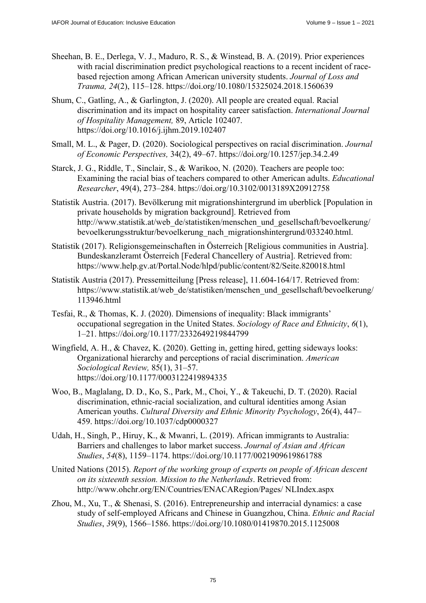- Sheehan, B. E., Derlega, V. J., Maduro, R. S., & Winstead, B. A. (2019). Prior experiences with racial discrimination predict psychological reactions to a recent incident of racebased rejection among African American university students. *Journal of Loss and Trauma, 24*(2), 115–128. <https://doi.org/10.1080/15325024.2018.1560639>
- Shum, C., Gatling, A., & Garlington, J. (2020). All people are created equal. Racial discrimination and its impact on hospitality career satisfaction. *International Journal of Hospitality Management,* 89, Article 102407. <https://doi.org/10.1016/j.ijhm.2019.102407>
- Small, M. L., & Pager, D. (2020). Sociological perspectives on racial discrimination. *Journal of Economic Perspectives,* 34(2), 49–67. <https://doi.org/10.1257/jep.34.2.49>
- Starck, J. G., Riddle, T., Sinclair, S., & Warikoo, N. (2020). Teachers are people too: Examining the racial bias of teachers compared to other American adults. *Educational Researcher*, 49(4), 273–284. <https://doi.org/10.3102/0013189X20912758>
- Statistik Austria. (2017). Bevölkerung mit migrationshintergrund im uberblick [Population in private households by migration background]. Retrieved from [http://www.statistik.at/web\\_de/statistiken/menschen\\_und\\_gesellschaft/bevoelkerung/](http://www.statistik.at/web_de/statistiken/menschen_und_gesellschaft/bevoelkerung/) bevoelkerungsstruktur/bevoelkerung\_nach\_migrationshintergrund/033240.html.
- Statistik (2017). Religionsgemeinschaften in Österreich [Religious communities in Austria]. Bundeskanzleramt Österreich [Federal Chancellery of Austria]. Retrieved from: <https://www.help.gv.at/Portal.Node/hlpd/public/content/82/Seite.820018.html>
- Statistik Austria (2017). Pressemitteilung [Press release], 11.604-164/17. Retrieved from: [https://www.statistik.at/web\\_de/statistiken/menschen\\_und\\_gesellschaft/bevoelkerung/](https://www.statistik.at/web_de/statistiken/menschen_und_gesellschaft/bevoelkerung/) 113946.html
- Tesfai, R., & Thomas, K. J. (2020). Dimensions of inequality: Black immigrants' occupational segregation in the United States. *Sociology of Race and Ethnicity*, *6*(1), 1–21. <https://doi.org/10.1177/2332649219844799>
- Wingfield, A. H., & Chavez, K. (2020). Getting in, getting hired, getting sideways looks: Organizational hierarchy and perceptions of racial discrimination. *American Sociological Review,* 85(1), 31–57. <https://doi.org/10.1177/0003122419894335>
- Woo, B., Maglalang, D. D., Ko, S., Park, M., Choi, Y., & Takeuchi, D. T. (2020). Racial discrimination, ethnic-racial socialization, and cultural identities among Asian American youths. *Cultural Diversity and Ethnic Minority Psychology*, 26(4), 447– 459. <https://doi.org/10.1037/cdp0000327>
- Udah, H., Singh, P., Hiruy, K., & Mwanri, L. (2019). African immigrants to Australia: Barriers and challenges to labor market success. *Journal of Asian and African Studies*, *54*(8), 1159–1174. <https://doi.org/10.1177/0021909619861788>
- United Nations (2015). *Report of the working group of experts on people of African descent on its sixteenth session. Mission to the Netherlands*. Retrieved from: [http://www.ohchr.org/EN/Countries/ENACARegion/Pages/ NL](http://www.ohchr.org/EN/Countries/ENACARegion/Pages/)Index.aspx
- Zhou, M., Xu, T., & Shenasi, S. (2016). Entrepreneurship and interracial dynamics: a case study of self-employed Africans and Chinese in Guangzhou, China. *Ethnic and Racial Studies*, *39*(9), 1566–1586. <https://doi.org/10.1080/01419870.2015.1125008>